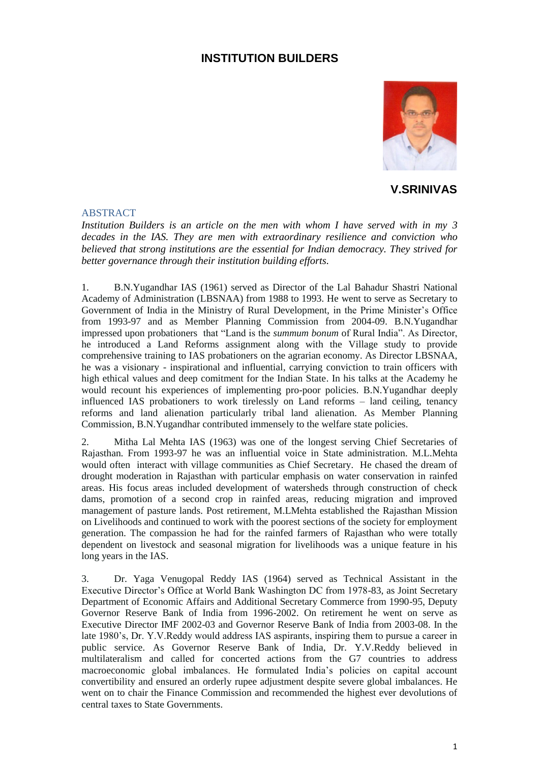## **INSTITUTION BUILDERS**



**V.SRINIVAS**

## ABSTRACT

*Institution Builders is an article on the men with whom I have served with in my 3 decades in the IAS. They are men with extraordinary resilience and conviction who believed that strong institutions are the essential for Indian democracy. They strived for better governance through their institution building efforts.*

1. B.N.Yugandhar IAS (1961) served as Director of the Lal Bahadur Shastri National Academy of Administration (LBSNAA) from 1988 to 1993. He went to serve as Secretary to Government of India in the Ministry of Rural Development, in the Prime Minister's Office from 1993-97 and as Member Planning Commission from 2004-09. B.N.Yugandhar impressed upon probationers that "Land is the *summum bonum* of Rural India". As Director, he introduced a Land Reforms assignment along with the Village study to provide comprehensive training to IAS probationers on the agrarian economy. As Director LBSNAA, he was a visionary - inspirational and influential, carrying conviction to train officers with high ethical values and deep comitment for the Indian State. In his talks at the Academy he would recount his experiences of implementing pro-poor policies. B.N.Yugandhar deeply influenced IAS probationers to work tirelessly on Land reforms – land ceiling, tenancy reforms and land alienation particularly tribal land alienation. As Member Planning Commission, B.N.Yugandhar contributed immensely to the welfare state policies.

2. Mitha Lal Mehta IAS (1963) was one of the longest serving Chief Secretaries of Rajasthan. From 1993-97 he was an influential voice in State administration. M.L.Mehta would often interact with village communities as Chief Secretary. He chased the dream of drought moderation in Rajasthan with particular emphasis on water conservation in rainfed areas. His focus areas included development of watersheds through construction of check dams, promotion of a second crop in rainfed areas, reducing migration and improved management of pasture lands. Post retirement, M.LMehta established the Rajasthan Mission on Livelihoods and continued to work with the poorest sections of the society for employment generation. The compassion he had for the rainfed farmers of Rajasthan who were totally dependent on livestock and seasonal migration for livelihoods was a unique feature in his long years in the IAS.

3. Dr. Yaga Venugopal Reddy IAS (1964) served as Technical Assistant in the Executive Director's Office at World Bank Washington DC from 1978-83, as Joint Secretary Department of Economic Affairs and Additional Secretary Commerce from 1990-95, Deputy Governor Reserve Bank of India from 1996-2002. On retirement he went on serve as Executive Director IMF 2002-03 and Governor Reserve Bank of India from 2003-08. In the late 1980's, Dr. Y.V.Reddy would address IAS aspirants, inspiring them to pursue a career in public service. As Governor Reserve Bank of India, Dr. Y.V.Reddy believed in multilateralism and called for concerted actions from the G7 countries to address macroeconomic global imbalances. He formulated India's policies on capital account convertibility and ensured an orderly rupee adjustment despite severe global imbalances. He went on to chair the Finance Commission and recommended the highest ever devolutions of central taxes to State Governments.